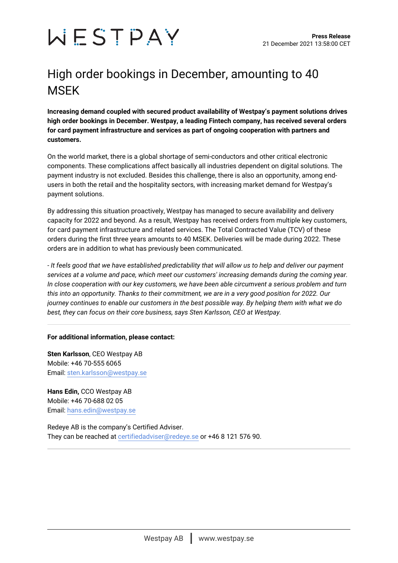

## High order bookings in December, amounting to 40 **MSFK**

**Increasing demand coupled with secured product availability of Westpay's payment solutions drives high order bookings in December. Westpay, a leading Fintech company, has received several orders for card payment infrastructure and services as part of ongoing cooperation with partners and customers.**

On the world market, there is a global shortage of semi-conductors and other critical electronic components. These complications affect basically all industries dependent on digital solutions. The payment industry is not excluded. Besides this challenge, there is also an opportunity, among endusers in both the retail and the hospitality sectors, with increasing market demand for Westpay's payment solutions.

By addressing this situation proactively, Westpay has managed to secure availability and delivery capacity for 2022 and beyond. As a result, Westpay has received orders from multiple key customers, for card payment infrastructure and related services. The Total Contracted Value (TCV) of these orders during the first three years amounts to 40 MSEK. Deliveries will be made during 2022. These orders are in addition to what has previously been communicated.

*- It feels good that we have established predictability that will allow us to help and deliver our payment services at a volume and pace, which meet our customers' increasing demands during the coming year. In close cooperation with our key customers, we have been able circumvent a serious problem and turn this into an opportunity. Thanks to their commitment, we are in a very good position for 2022. Our journey continues to enable our customers in the best possible way. By helping them with what we do best, they can focus on their core business, says Sten Karlsson, CEO at Westpay.*

## **For additional information, please contact:**

**Sten Karlsson**, CEO Westpay AB Mobile: +46 70-555 6065 Email: [sten.karlsson@westpay.se](mailto:sten.karlsson@westpay.se)

**Hans Edin,** CCO Westpay AB Mobile: +46 70-688 02 05 Email: [hans.edin@westpay.se](mailto:hans.edin@westpay.se)

Redeye AB is the company's Certified Adviser. They can be reached at [certifiedadviser@redeye.se](mailto:certifiedadviser@redeye.se) or +46 8 121 576 90.